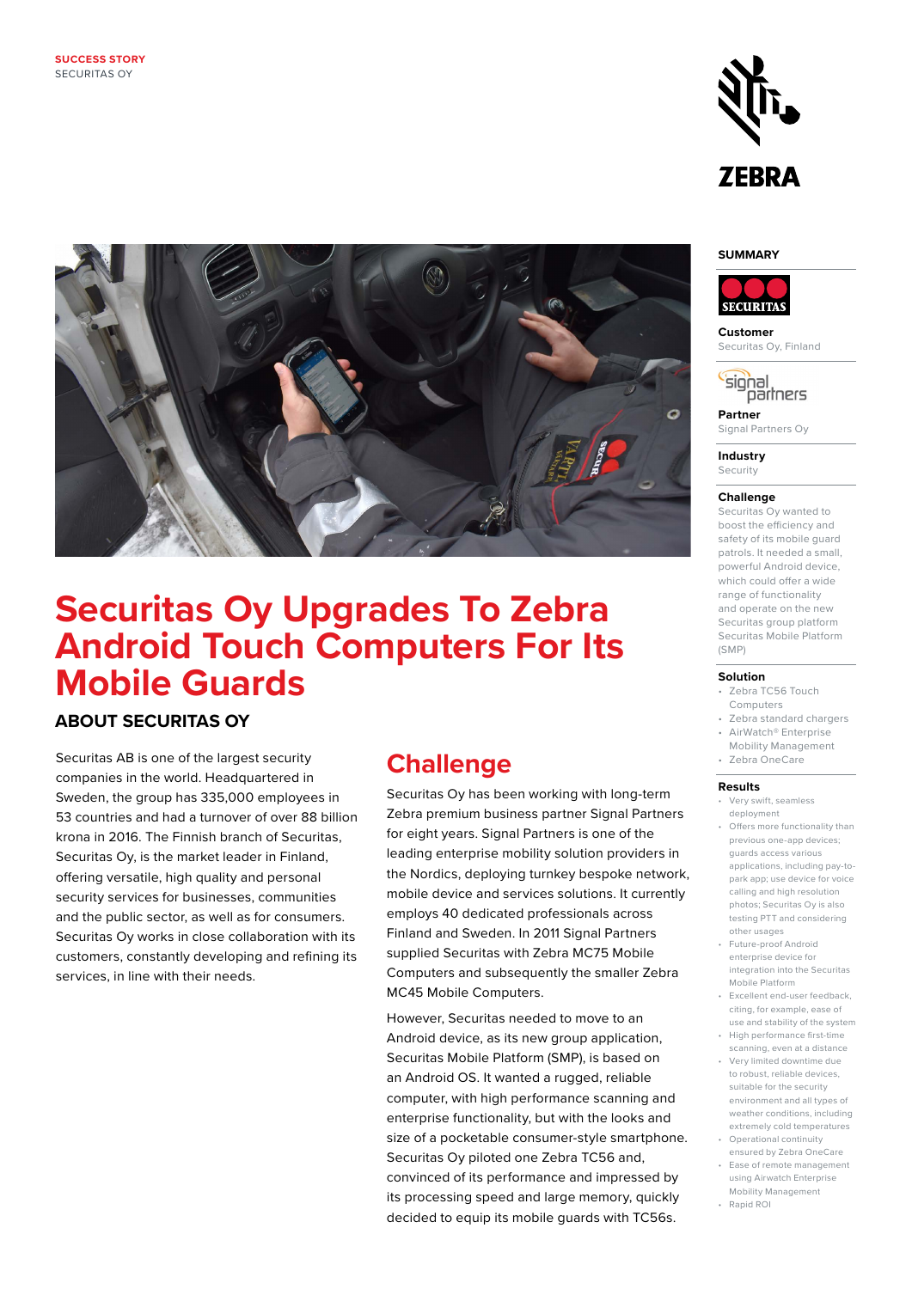

### **SUMMARY**



**Customer** Securitas Oy, Finland

signal partners

**Partner** Signal Partners Oy

**Industry Security** 

#### **Challenge**

Securitas Oy wanted to boost the efficiency and safety of its mobile guard patrols. It needed a small, powerful Android device, which could offer a wide range of functionality and operate on the new Securitas group platform Securitas Mobile Platform (SMP)

#### **Solution**

- Zebra TC56 Touch Computers
- Zebra standard chargers • AirWatch® Enterprise
- Mobility Management
- Zebra OneCare

### **Results**

- Very swift, seamless deployment
- Offers more functionality than previous one-app devices; guards access various applications, including pay-topark app; use device for voice calling and high resolution photos; Securitas Oy is also testing PTT and considering other usages
- Future-proof Android enterprise device for integration into the Securitas Mobile Platform
- Excellent end-user feedback, citing, for example, ease of use and stability of the system
- High performance first-time scanning, even at a distance
- Very limited downtime due to robust, reliable devices, suitable for the security environment and all types of weather conditions, including extremely cold temperatures • Operational continuity
- ensured by Zebra OneCare • Ease of remote management using Airwatch Enterprise
- Mobility Management • Rapid ROI



# **Securitas Oy Upgrades To Zebra Android Touch Computers For Its Mobile Guards**

## **ABOUT SECURITAS OY**

Securitas AB is one of the largest security companies in the world. Headquartered in Sweden, the group has 335,000 employees in 53 countries and had a turnover of over 88 billion krona in 2016. The Finnish branch of Securitas, Securitas Oy, is the market leader in Finland, offering versatile, high quality and personal security services for businesses, communities and the public sector, as well as for consumers. Securitas Oy works in close collaboration with its customers, constantly developing and refining its services, in line with their needs.

## **Challenge**

Securitas Oy has been working with long-term Zebra premium business partner Signal Partners for eight years. Signal Partners is one of the leading enterprise mobility solution providers in the Nordics, deploying turnkey bespoke network, mobile device and services solutions. It currently employs 40 dedicated professionals across Finland and Sweden. In 2011 Signal Partners supplied Securitas with Zebra MC75 Mobile Computers and subsequently the smaller Zebra MC45 Mobile Computers.

However, Securitas needed to move to an Android device, as its new group application, Securitas Mobile Platform (SMP), is based on an Android OS. It wanted a rugged, reliable computer, with high performance scanning and enterprise functionality, but with the looks and size of a pocketable consumer-style smartphone. Securitas Oy piloted one Zebra TC56 and, convinced of its performance and impressed by its processing speed and large memory, quickly decided to equip its mobile guards with TC56s.